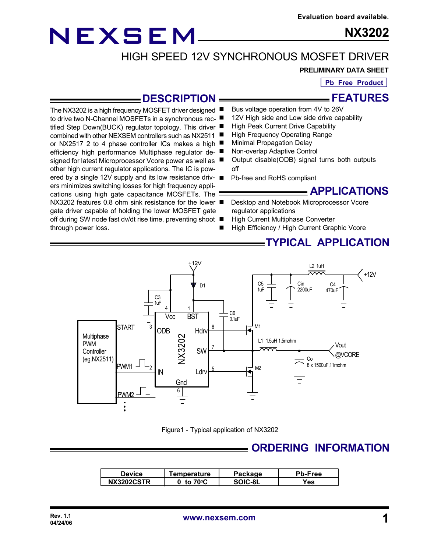# NEXSEM

signed for latest Microprocessor Vcore power as well as other high current regulator applications. The IC is pow-

ers minimizes switching losses for high frequency applications using high gate capacitance MOSFETs. The

gate driver capable of holding the lower MOSFET gate

through power loss.

**NX3202**

## HIGH SPEED 12V SYNCHRONOUS MOSFET DRIVER

#### **PRELIMINARY DATA SHEET**

**Pb Free Product**

**FEATURES**

### **DESCRIPTION**

Bus voltage operation from 4V to 26V

- The NX3202 is a high frequency MOSFET driver designed to drive two N-Channel MOSFETs in a synchronous rec-12V High side and Low side drive capability
- tified Step Down(BUCK) regulator topology. This driver High Peak Current Drive Capability
- combined with other NEXSEM controllers such as NX2511 High Frequency Operating Range
- or NX2517 2 to 4 phase controller ICs makes a high **Minimal Propagation Delay**
- efficiency high performance Multiphase regulator de-Non-overlap Adaptive Control
	- Output disable(ODB) signal turns both outputs off
- ered by a single 12V supply and its low resistance driv- Pb-free and RoHS compliant

#### **APPLICATIONS**

- NX3202 features 0.8 ohm sink resistance for the lower Desktop and Notebook Microprocessor Vcore regulator applications
- off during SW node fast dv/dt rise time, preventing shoot High Current Multiphase Converter
	- High Efficiency / High Current Graphic Vcore

### **TYPICAL APPLICATION**



Figure1 - Typical application of NX3202

### **ORDERING INFORMATION**

| <b>Device</b>     | <b>Femperature</b> | Packaɑe | <b>Pb-Free</b> |
|-------------------|--------------------|---------|----------------|
| <b>NX3202CSTR</b> | to $70^{\circ}$ C  | SOIC-8L | Yes            |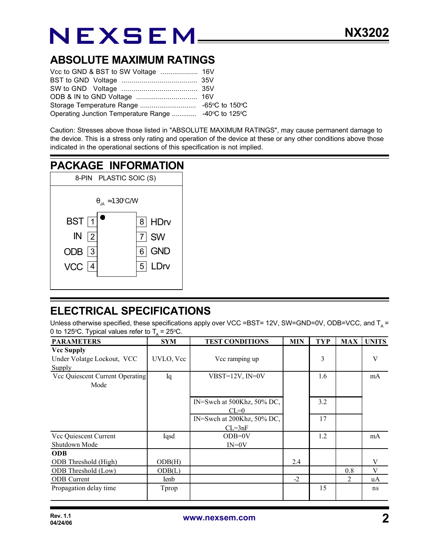# NEXSEM

### **ABSOLUTE MAXIMUM RATINGS**

| Operating Junction Temperature Range  -40°C to 125°C |  |
|------------------------------------------------------|--|

Caution: Stresses above those listed in "ABSOLUTE MAXIMUM RATINGS", may cause permanent damage to the device. This is a stress only rating and operation of the device at these or any other conditions above those indicated in the operational sections of this specification is not implied.

#### **PACKAGE INFORMATION** 8-PIN PLASTIC SOIC (S) VCC <u>| 4</u> ODB 3  $IN$  2  $\text{BST} \begin{bmatrix} 1 \end{bmatrix}$   $\begin{bmatrix} 8 \end{bmatrix}$ 5 LDrv 6 GND  $IN$  2 7 SW 8 HDrv  $\theta_{JA} \approx 130^{\circ}$  C/W

## **ELECTRICAL SPECIFICATIONS**

Unless otherwise specified, these specifications apply over VCC =BST= 12V, SW=GND=0V, ODB=VCC, and T<sub>A</sub> = 0 to 125 °C. Typical values refer to  $T_A = 25$  °C.

| <b>PARAMETERS</b>               | n.<br><b>SYM</b> | <b>TEST CONDITIONS</b>     | <b>MIN</b> | <b>TYP</b> | <b>MAX</b> | <b>UNITS</b> |
|---------------------------------|------------------|----------------------------|------------|------------|------------|--------------|
| <b>Vcc Supply</b>               |                  |                            |            |            |            |              |
| Under Volatge Lockout, VCC      | UVLO, Vcc        | Vcc ramping up             |            | 3          |            | V            |
| Supply                          |                  |                            |            |            |            |              |
| Vcc Quiescent Current Operating | Iq               | $VBST=12V$ , $IN=0V$       |            | 1.6        |            | mA           |
| Mode                            |                  |                            |            |            |            |              |
|                                 |                  |                            |            |            |            |              |
|                                 |                  | IN=Swch at 500Khz, 50% DC, |            | 3.2        |            |              |
|                                 |                  | $CL=0$                     |            |            |            |              |
|                                 |                  | IN=Swch at 200Khz, 50% DC, |            | 17         |            |              |
|                                 |                  | $CL = 3nF$                 |            |            |            |              |
| Vcc Quiescent Current           | Iqsd             | $ODB=0V$                   |            | 1.2        |            | mA           |
| Shutdown Mode                   |                  | $IN=0V$                    |            |            |            |              |
| <b>ODB</b>                      |                  |                            |            |            |            |              |
| <b>ODB</b> Threshold (High)     | ODB(H)           |                            | 2.4        |            |            | V            |
| ODB Threshold (Low)             | ODB(L)           |                            |            |            | 0.8        | V            |
| <b>ODB</b> Current              | Ienb             |                            | $-2$       |            | 2          | uA           |
| Propagation delay time          | Tprop            |                            |            | 15         |            | ns           |
|                                 |                  |                            |            |            |            |              |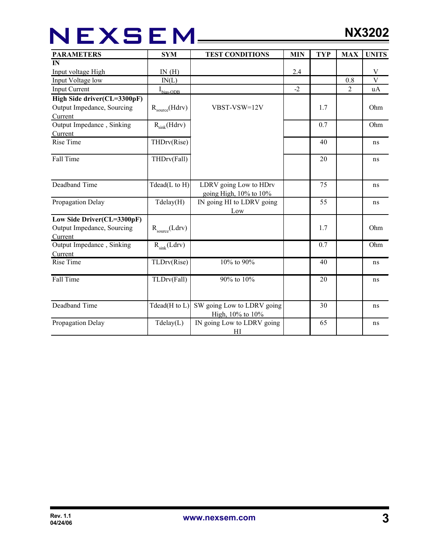# NEXSEM\_\_\_\_\_

| <b>PARAMETERS</b>                                                   | <b>SYM</b>         | <b>TEST CONDITIONS</b>                                 | <b>MIN</b> | <b>TYP</b> | <b>MAX</b>     | <b>UNITS</b>              |
|---------------------------------------------------------------------|--------------------|--------------------------------------------------------|------------|------------|----------------|---------------------------|
| $\mathbf{I}$                                                        |                    |                                                        |            |            |                |                           |
| Input voltage High                                                  | IN(H)              |                                                        | 2.4        |            |                | V                         |
| Input Voltage low                                                   | IN(L)              |                                                        |            |            | 0.8            | $\ensuremath{\mathbf{V}}$ |
| <b>Input Current</b>                                                | $I_{bias-ODB}$     |                                                        | $-2$       |            | $\overline{2}$ | uA                        |
| High Side driver(CL=3300pF)                                         |                    |                                                        |            |            |                |                           |
| Output Impedance, Sourcing<br>Current                               | $R_{source}(Hdrv)$ | VBST-VSW=12V                                           |            | 1.7        |                | Ohm                       |
| Output Impedance, Sinking<br>Current                                | $R_{sink}(Hdrv)$   |                                                        |            | 0.7        |                | Ohm                       |
| <b>Rise Time</b>                                                    | THDrv(Rise)        |                                                        |            | 40         |                | ns                        |
| Fall Time                                                           | THDrv(Fall)        |                                                        |            | 20         |                | ns                        |
| Deadband Time                                                       | Tdead(L to H)      | LDRV going Low to HDrv<br>going High, $10\%$ to $10\%$ |            | 75         |                | ns                        |
| Propagation Delay                                                   | Tdelay(H)          | IN going HI to LDRV going<br>Low                       |            | 55         |                | ns                        |
| Low Side Driver(CL=3300pF)<br>Output Impedance, Sourcing<br>Current | $R_{source}(Ldrv)$ |                                                        |            | 1.7        |                | Ohm                       |
| Output Impedance, Sinking<br>Current                                | $R_{sink}(Ldrv)$   |                                                        |            | 0.7        |                | Ohm                       |
| <b>Rise Time</b>                                                    | TLDrv(Rise)        | 10% to 90%                                             |            | 40         |                | ns                        |
| Fall Time                                                           | TLDrv(Fall)        | 90% to 10%                                             |            | 20         |                | ns                        |
| Deadband Time                                                       | Tdead(H to L)      | SW going Low to LDRV going<br>High, 10% to 10%         |            | 30         |                | ns                        |
| Propagation Delay                                                   | Tdelay(L)          | IN going Low to LDRV going<br>HI                       |            | 65         |                | ns                        |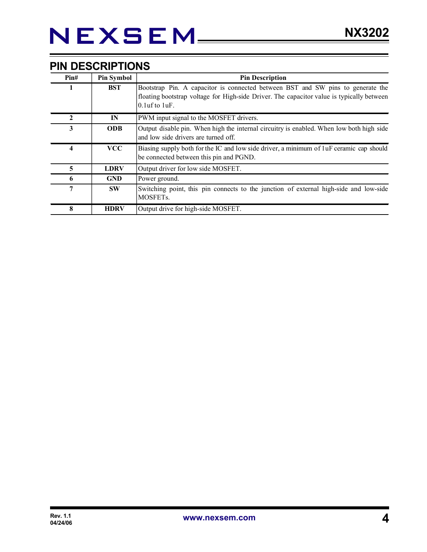### **PIN DESCRIPTIONS**

| Pin# | <b>Pin Symbol</b> | <b>Pin Description</b>                                                                                                                                                                              |
|------|-------------------|-----------------------------------------------------------------------------------------------------------------------------------------------------------------------------------------------------|
| 1    | <b>BST</b>        | Bootstrap Pin. A capacitor is connected between BST and SW pins to generate the<br>floating bootstrap voltage for High-side Driver. The capacitor value is typically between<br>$0.1$ uf to $1$ uF. |
| 2    | $\mathbf{IN}$     | PWM input signal to the MOSFET drivers.                                                                                                                                                             |
| 3    | <b>ODB</b>        | Output disable pin. When high the internal circuitry is enabled. When low both high side<br>and low side drivers are turned off.                                                                    |
| 4    | <b>VCC</b>        | Biasing supply both for the IC and low side driver, a minimum of luF ceramic cap should<br>be connected between this pin and PGND.                                                                  |
| 5    | <b>LDRV</b>       | Output driver for low side MOSFET.                                                                                                                                                                  |
| 6    | <b>GND</b>        | Power ground.                                                                                                                                                                                       |
| 7    | <b>SW</b>         | Switching point, this pin connects to the junction of external high-side and low-side<br>MOSFET <sub>s.</sub>                                                                                       |
| 8    | <b>HDRV</b>       | Output drive for high-side MOSFET.                                                                                                                                                                  |